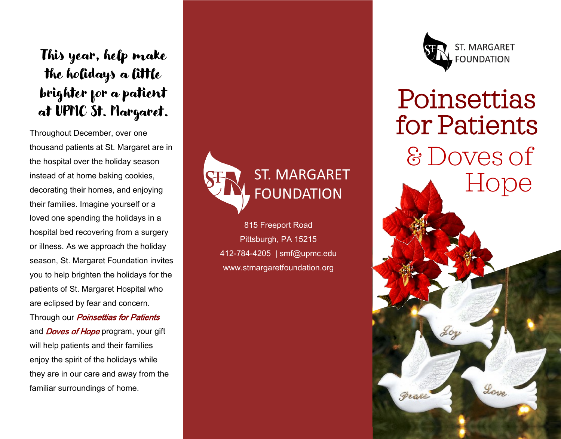## This year, help make the holidays a little brighter for a patient at UPMC St. Margaret.

Throughout December, over one thousand patients at St. Margaret are in the hospital over the holiday season instead of at home baking cookies, decorating their homes, and enjoying their families. Imagine yourself or a loved one spending the holidays in a hospital bed recovering from a surgery or illness. As we approach the holiday season, St. Margaret Foundation invites you to help brighten the holidays for the patients of St. Margaret Hospital who are eclipsed by fear and concern.

Through our **Poinsettias for Patients** and *Doves of Hope* program, your gift will help patients and their families enjoy the spirit of the holidays while they are in our care and away from the familiar surroundings of home.



815 Freeport Road Pittsburgh, PA 15215 412-784-4205 | smf@upmc.edu www.stmargaretfoundation.org



Poinsettias

for Patients

& Doves of

Hope

Lore

Frase